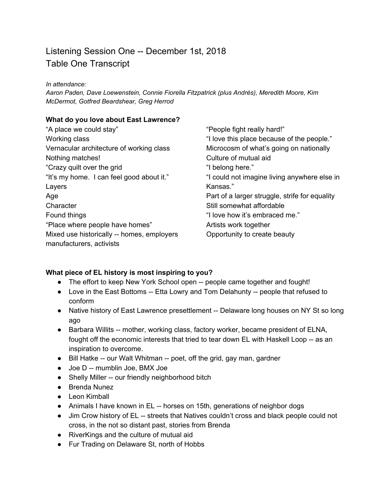# Listening Session One -- December 1st, 2018 Table One Transcript

*In attendance:*

*Aaron Paden, Dave Loewenstein, Connie Fiorella Fitzpatrick (plus Andrés), Meredith Moore, Kim McDermot, Gotfred Beardshear, Greg Herrod*

#### **What do you love about East Lawrence?**

| "A place we could stay"                                                | "People fight really hard!"                    |
|------------------------------------------------------------------------|------------------------------------------------|
| Working class                                                          | "I love this place because of the people."     |
| Vernacular architecture of working class                               | Microcosm of what's going on nationally        |
| Nothing matches!                                                       | Culture of mutual aid                          |
| "Crazy quilt over the grid                                             | "I belong here."                               |
| "It's my home. I can feel good about it."                              | "I could not imagine living anywhere else in   |
| Layers                                                                 | Kansas."                                       |
| Age                                                                    | Part of a larger struggle, strife for equality |
| Character                                                              | Still somewhat affordable                      |
| Found things                                                           | "I love how it's embraced me."                 |
| "Place where people have homes"                                        | Artists work together                          |
| Mixed use historically -- homes, employers<br>manufacturers, activists | Opportunity to create beauty                   |

#### **What piece of EL history is most inspiring to you?**

- The effort to keep New York School open -- people came together and fought!
- Love in the East Bottoms -- Etta Lowry and Tom Delahunty -- people that refused to conform
- Native history of East Lawrence presettlement -- Delaware long houses on NY St so long ago
- Barbara Willits -- mother, working class, factory worker, became president of ELNA, fought off the economic interests that tried to tear down EL with Haskell Loop -- as an inspiration to overcome.
- Bill Hatke -- our Walt Whitman -- poet, off the grid, gay man, gardner
- Joe D -- mumblin Joe, BMX Joe
- Shelly Miller -- our friendly neighborhood bitch
- Brenda Nunez
- Leon Kimball
- Animals I have known in EL -- horses on 15th, generations of neighbor dogs
- Jim Crow history of EL -- streets that Natives couldn't cross and black people could not cross, in the not so distant past, stories from Brenda
- RiverKings and the culture of mutual aid
- Fur Trading on Delaware St, north of Hobbs